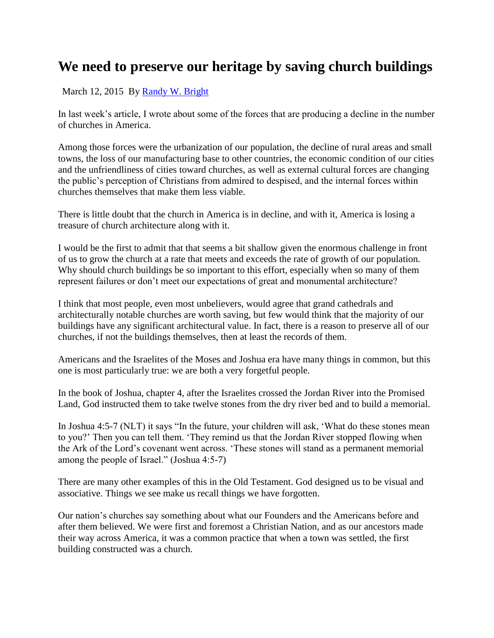## **We need to preserve our heritage by saving church buildings**

March 12, 2015 By [Randy W. Bright](http://www.tulsabeacon.com/author/slug-o6yd1v)

In last week's article, I wrote about some of the forces that are producing a decline in the number of churches in America.

Among those forces were the urbanization of our population, the decline of rural areas and small towns, the loss of our manufacturing base to other countries, the economic condition of our cities and the unfriendliness of cities toward churches, as well as external cultural forces are changing the public"s perception of Christians from admired to despised, and the internal forces within churches themselves that make them less viable.

There is little doubt that the church in America is in decline, and with it, America is losing a treasure of church architecture along with it.

I would be the first to admit that that seems a bit shallow given the enormous challenge in front of us to grow the church at a rate that meets and exceeds the rate of growth of our population. Why should church buildings be so important to this effort, especially when so many of them represent failures or don"t meet our expectations of great and monumental architecture?

I think that most people, even most unbelievers, would agree that grand cathedrals and architecturally notable churches are worth saving, but few would think that the majority of our buildings have any significant architectural value. In fact, there is a reason to preserve all of our churches, if not the buildings themselves, then at least the records of them.

Americans and the Israelites of the Moses and Joshua era have many things in common, but this one is most particularly true: we are both a very forgetful people.

In the book of Joshua, chapter 4, after the Israelites crossed the Jordan River into the Promised Land, God instructed them to take twelve stones from the dry river bed and to build a memorial.

In Joshua 4:5-7 (NLT) it says "In the future, your children will ask, "What do these stones mean to you?" Then you can tell them. "They remind us that the Jordan River stopped flowing when the Ark of the Lord"s covenant went across. "These stones will stand as a permanent memorial among the people of Israel." (Joshua 4:5-7)

There are many other examples of this in the Old Testament. God designed us to be visual and associative. Things we see make us recall things we have forgotten.

Our nation"s churches say something about what our Founders and the Americans before and after them believed. We were first and foremost a Christian Nation, and as our ancestors made their way across America, it was a common practice that when a town was settled, the first building constructed was a church.